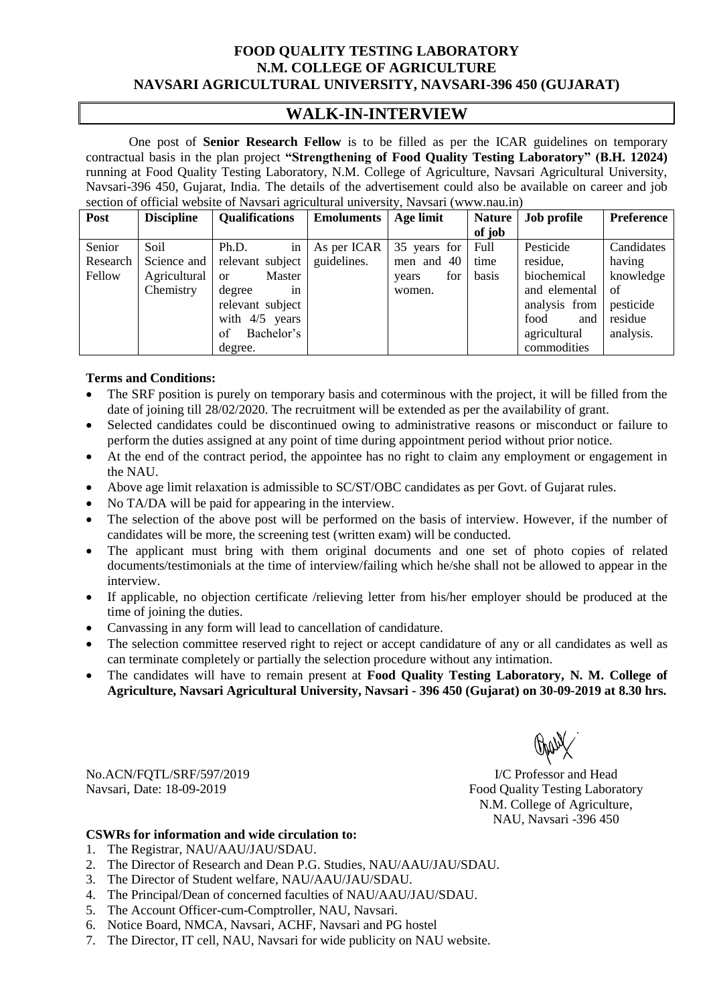## **FOOD QUALITY TESTING LABORATORY N.M. COLLEGE OF AGRICULTURE NAVSARI AGRICULTURAL UNIVERSITY, NAVSARI-396 450 (GUJARAT)**

# **WALK-IN-INTERVIEW**

One post of **Senior Research Fellow** is to be filled as per the ICAR guidelines on temporary contractual basis in the plan project **"Strengthening of Food Quality Testing Laboratory" (B.H. 12024)**  running at Food Quality Testing Laboratory, N.M. College of Agriculture, Navsari Agricultural University, Navsari-396 450, Gujarat, India. The details of the advertisement could also be available on career and job section of official website of Navsari agricultural university, Navsari (www.nau.in)

| Post     | <b>Discipline</b> | <b>Qualifications</b>   | <b>Emoluments</b> | Age limit    | <b>Nature</b> | Job profile   | Preference |
|----------|-------------------|-------------------------|-------------------|--------------|---------------|---------------|------------|
|          |                   |                         |                   |              | of job        |               |            |
| Senior   | Soil              | Ph.D.<br>in             | As per ICAR       | 35 years for | Full          | Pesticide     | Candidates |
| Research | Science and       | relevant subject        | guidelines.       | men and $40$ | time          | residue.      | having     |
| Fellow   | Agricultural      | Master<br>$\alpha$      |                   | for<br>years | basis         | biochemical   | knowledge  |
|          | Chemistry         | degree<br><sub>in</sub> |                   | women.       |               | and elemental | of         |
|          |                   | relevant subject        |                   |              |               | analysis from | pesticide  |
|          |                   | with $4/5$ years        |                   |              |               | food<br>and   | residue    |
|          |                   | Bachelor's<br>of        |                   |              |               | agricultural  | analysis.  |
|          |                   | degree.                 |                   |              |               | commodities   |            |

### **Terms and Conditions:**

- The SRF position is purely on temporary basis and coterminous with the project, it will be filled from the date of joining till 28/02/2020. The recruitment will be extended as per the availability of grant.
- Selected candidates could be discontinued owing to administrative reasons or misconduct or failure to perform the duties assigned at any point of time during appointment period without prior notice.
- At the end of the contract period, the appointee has no right to claim any employment or engagement in the NAU.
- Above age limit relaxation is admissible to SC/ST/OBC candidates as per Govt. of Gujarat rules.
- No TA/DA will be paid for appearing in the interview.
- The selection of the above post will be performed on the basis of interview. However, if the number of candidates will be more, the screening test (written exam) will be conducted.
- The applicant must bring with them original documents and one set of photo copies of related documents/testimonials at the time of interview/failing which he/she shall not be allowed to appear in the interview.
- If applicable, no objection certificate /relieving letter from his/her employer should be produced at the time of joining the duties.
- Canvassing in any form will lead to cancellation of candidature.
- The selection committee reserved right to reject or accept candidature of any or all candidates as well as can terminate completely or partially the selection procedure without any intimation.
- The candidates will have to remain present at **Food Quality Testing Laboratory, N. M. College of Agriculture, Navsari Agricultural University, Navsari - 396 450 (Gujarat) on 30-09-2019 at 8.30 hrs.**

No.ACN/FQTL/SRF/597/2019 Navsari, Date: 18-09-2019

I/C Professor and Head Food Quality Testing Laboratory N.M. College of Agriculture, NAU, Navsari -396 450

#### **CSWRs for information and wide circulation to:**

- 1. The Registrar, NAU/AAU/JAU/SDAU.
- 2. The Director of Research and Dean P.G. Studies, NAU/AAU/JAU/SDAU.
- 3. The Director of Student welfare, NAU/AAU/JAU/SDAU.
- 4. The Principal/Dean of concerned faculties of NAU/AAU/JAU/SDAU.
- 5. The Account Officer-cum-Comptroller, NAU, Navsari.
- 6. Notice Board, NMCA, Navsari, ACHF, Navsari and PG hostel
- 7. The Director, IT cell, NAU, Navsari for wide publicity on NAU website.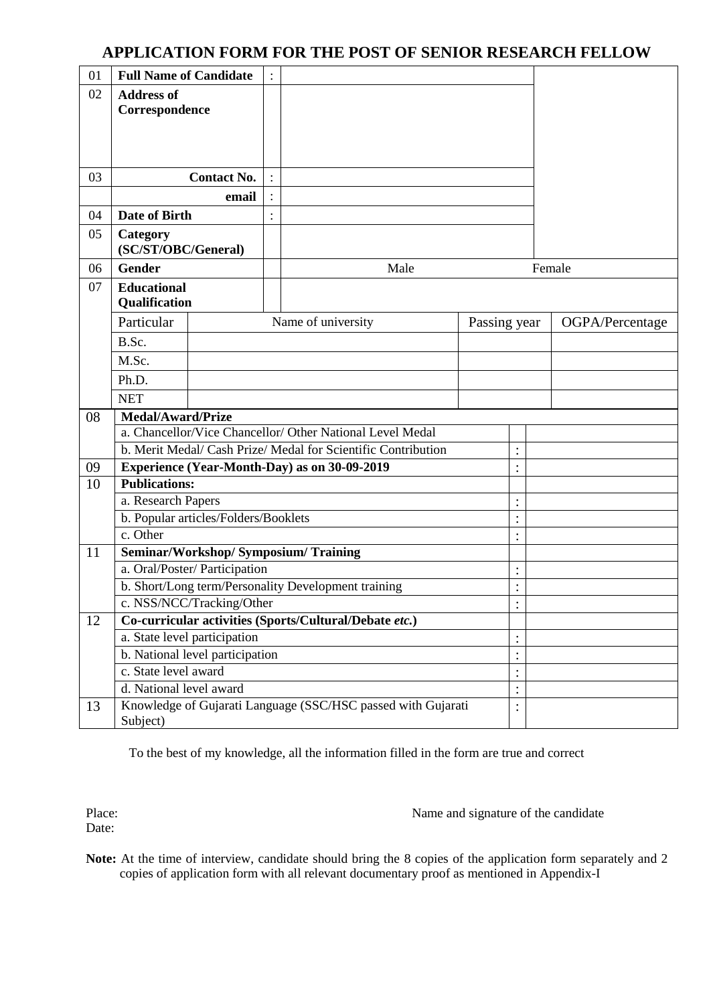# **APPLICATION FORM FOR THE POST OF SENIOR RESEARCH FELLOW**

| 01 | <b>Full Name of Candidate</b>                                                        |                                 | $\ddot{\cdot}$ |                                                             |              |                           |  |                 |  |  |
|----|--------------------------------------------------------------------------------------|---------------------------------|----------------|-------------------------------------------------------------|--------------|---------------------------|--|-----------------|--|--|
| 02 | <b>Address of</b><br>Correspondence                                                  |                                 |                |                                                             |              |                           |  |                 |  |  |
| 03 |                                                                                      | <b>Contact No.</b>              | $\ddot{\cdot}$ |                                                             |              |                           |  |                 |  |  |
|    |                                                                                      | email                           | $\colon$       |                                                             |              |                           |  |                 |  |  |
| 04 | Date of Birth                                                                        |                                 |                |                                                             |              |                           |  |                 |  |  |
| 05 | Category<br>(SC/ST/OBC/General)                                                      |                                 |                |                                                             |              |                           |  |                 |  |  |
| 06 | <b>Gender</b>                                                                        |                                 |                | Male                                                        |              |                           |  | Female          |  |  |
| 07 | <b>Educational</b><br>Qualification                                                  |                                 |                |                                                             |              |                           |  |                 |  |  |
|    | Particular                                                                           |                                 |                | Name of university                                          | Passing year |                           |  | OGPA/Percentage |  |  |
|    | B.Sc.                                                                                |                                 |                |                                                             |              |                           |  |                 |  |  |
|    | M.Sc.                                                                                |                                 |                |                                                             |              |                           |  |                 |  |  |
|    | Ph.D.                                                                                |                                 |                |                                                             |              |                           |  |                 |  |  |
|    | <b>NET</b>                                                                           |                                 |                |                                                             |              |                           |  |                 |  |  |
| 08 | <b>Medal/Award/Prize</b>                                                             |                                 |                |                                                             |              |                           |  |                 |  |  |
|    |                                                                                      |                                 |                | a. Chancellor/Vice Chancellor/Other National Level Medal    |              |                           |  |                 |  |  |
|    |                                                                                      |                                 |                | b. Merit Medal/Cash Prize/Medal for Scientific Contribution |              | $\ddot{\cdot}$<br>$\cdot$ |  |                 |  |  |
| 09 | <b>Publications:</b>                                                                 |                                 |                | Experience (Year-Month-Day) as on 30-09-2019                |              | $\bullet$                 |  |                 |  |  |
|    | 10                                                                                   |                                 |                |                                                             |              | $\vdots$                  |  |                 |  |  |
|    | a. Research Papers<br>b. Popular articles/Folders/Booklets                           |                                 |                |                                                             |              | $\vdots$                  |  |                 |  |  |
|    | c. Other                                                                             |                                 |                |                                                             |              | $\ddot{\cdot}$            |  |                 |  |  |
| 11 |                                                                                      |                                 |                | Seminar/Workshop/ Symposium/ Training                       |              |                           |  |                 |  |  |
|    |                                                                                      | a. Oral/Poster/ Participation   |                |                                                             |              | $\ddot{\cdot}$            |  |                 |  |  |
|    |                                                                                      |                                 |                | b. Short/Long term/Personality Development training         |              | $\bullet$                 |  |                 |  |  |
|    |                                                                                      | c. NSS/NCC/Tracking/Other       |                |                                                             |              | $\ddot{\cdot}$            |  |                 |  |  |
| 12 | Co-curricular activities (Sports/Cultural/Debate etc.)                               |                                 |                |                                                             |              |                           |  |                 |  |  |
|    |                                                                                      | a. State level participation    |                |                                                             |              | $\ddot{\cdot}$            |  |                 |  |  |
|    |                                                                                      | b. National level participation |                |                                                             |              | $\ddot{\cdot}$            |  |                 |  |  |
|    | c. State level award                                                                 |                                 |                |                                                             |              | $\vdots$                  |  |                 |  |  |
|    | d. National level award                                                              |                                 |                |                                                             |              | $\ddot{\cdot}$            |  |                 |  |  |
| 13 | Knowledge of Gujarati Language (SSC/HSC passed with Gujarati<br>$\vdots$<br>Subject) |                                 |                |                                                             |              |                           |  |                 |  |  |

To the best of my knowledge, all the information filled in the form are true and correct

Place: Date:

Name and signature of the candidate

Note: At the time of interview, candidate should bring the 8 copies of the application form separately and 2 copies of application form with all relevant documentary proof as mentioned in Appendix-I